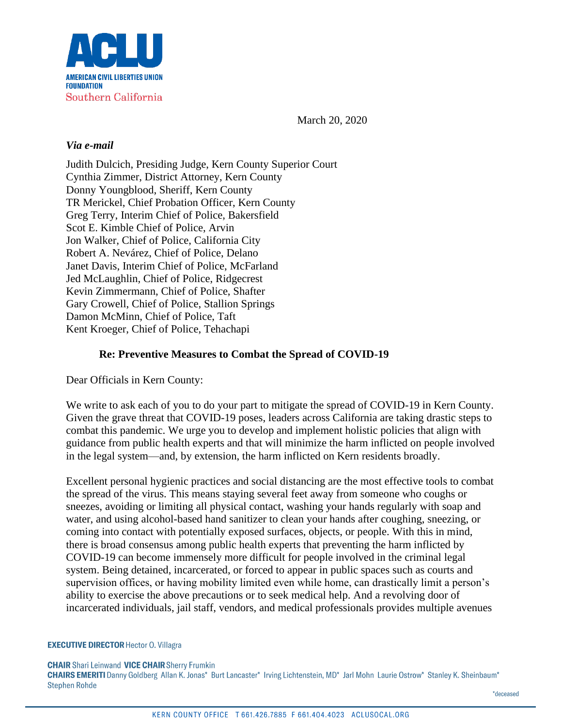

March 20, 2020

#### *Via e-mail*

Judith Dulcich, Presiding Judge, Kern County Superior Court Cynthia Zimmer, District Attorney, Kern County Donny Youngblood, Sheriff, Kern County TR Merickel, Chief Probation Officer, Kern County Greg Terry, Interim Chief of Police, Bakersfield Scot E. Kimble Chief of Police, Arvin Jon Walker, Chief of Police, California City Robert A. Nevárez, Chief of Police, Delano Janet Davis, Interim Chief of Police, McFarland Jed McLaughlin, Chief of Police, Ridgecrest Kevin Zimmermann, Chief of Police, Shafter Gary Crowell, Chief of Police, Stallion Springs Damon McMinn, Chief of Police, Taft Kent Kroeger, Chief of Police, Tehachapi

#### **Re: Preventive Measures to Combat the Spread of COVID-19**

Dear Officials in Kern County:

We write to ask each of you to do your part to mitigate the spread of COVID-19 in Kern County. Given the grave threat that COVID-19 poses, leaders across California are taking drastic steps to combat this pandemic. We urge you to develop and implement holistic policies that align with guidance from public health experts and that will minimize the harm inflicted on people involved in the legal system—and, by extension, the harm inflicted on Kern residents broadly.

Excellent personal hygienic practices and social distancing are the most effective tools to combat the spread of the virus. This means staying several feet away from someone who coughs or sneezes, avoiding or limiting all physical contact, washing your hands regularly with soap and water, and using alcohol-based hand sanitizer to clean your hands after coughing, sneezing, or coming into contact with potentially exposed surfaces, objects, or people. With this in mind, there is broad consensus among public health experts that preventing the harm inflicted by COVID-19 can become immensely more difficult for people involved in the criminal legal system. Being detained, incarcerated, or forced to appear in public spaces such as courts and supervision offices, or having mobility limited even while home, can drastically limit a person's ability to exercise the above precautions or to seek medical help. And a revolving door of incarcerated individuals, jail staff, vendors, and medical professionals provides multiple avenues

#### **EXECUTIVE DIRECTOR Hector O. Villagra**

CHAIR Shari Leinwand VICE CHAIR Sherry Frumkin<br>CHAIRS EMERITI Danny Goldberg Allan K. Jonas\* Burt Lancaster\* Irving Lichtenstein, MD\* Jarl Mohn Laurie Ostrow\* Stanley K. Sheinbaum\* **Stephen Rohde**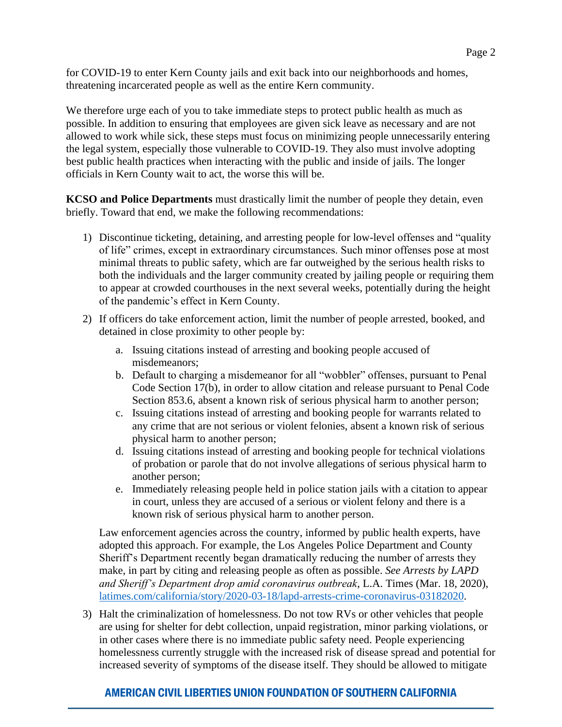for COVID-19 to enter Kern County jails and exit back into our neighborhoods and homes, threatening incarcerated people as well as the entire Kern community.

We therefore urge each of you to take immediate steps to protect public health as much as possible. In addition to ensuring that employees are given sick leave as necessary and are not allowed to work while sick, these steps must focus on minimizing people unnecessarily entering the legal system, especially those vulnerable to COVID-19. They also must involve adopting best public health practices when interacting with the public and inside of jails. The longer officials in Kern County wait to act, the worse this will be.

**KCSO and Police Departments** must drastically limit the number of people they detain, even briefly. Toward that end, we make the following recommendations:

- 1) Discontinue ticketing, detaining, and arresting people for low-level offenses and "quality of life" crimes, except in extraordinary circumstances. Such minor offenses pose at most minimal threats to public safety, which are far outweighed by the serious health risks to both the individuals and the larger community created by jailing people or requiring them to appear at crowded courthouses in the next several weeks, potentially during the height of the pandemic's effect in Kern County.
- 2) If officers do take enforcement action, limit the number of people arrested, booked, and detained in close proximity to other people by:
	- a. Issuing citations instead of arresting and booking people accused of misdemeanors;
	- b. Default to charging a misdemeanor for all "wobbler" offenses, pursuant to Penal Code Section 17(b), in order to allow citation and release pursuant to Penal Code Section 853.6, absent a known risk of serious physical harm to another person;
	- c. Issuing citations instead of arresting and booking people for warrants related to any crime that are not serious or violent felonies, absent a known risk of serious physical harm to another person;
	- d. Issuing citations instead of arresting and booking people for technical violations of probation or parole that do not involve allegations of serious physical harm to another person;
	- e. Immediately releasing people held in police station jails with a citation to appear in court, unless they are accused of a serious or violent felony and there is a known risk of serious physical harm to another person.

Law enforcement agencies across the country, informed by public health experts, have adopted this approach. For example, the Los Angeles Police Department and County Sheriff's Department recently began dramatically reducing the number of arrests they make, in part by citing and releasing people as often as possible. *See Arrests by LAPD and Sheriff's Department drop amid coronavirus outbreak*, L.A. Times (Mar. 18, 2020), [latimes.com/california/story/2020-03-18/lapd-arrests-crime-coronavirus-03182020.](http://www.latimes.com/california/story/2020-03-18/lapd-arrests-crime-coronavirus-03182020)

3) Halt the criminalization of homelessness. Do not tow RVs or other vehicles that people are using for shelter for debt collection, unpaid registration, minor parking violations, or in other cases where there is no immediate public safety need. People experiencing homelessness currently struggle with the increased risk of disease spread and potential for increased severity of symptoms of the disease itself. They should be allowed to mitigate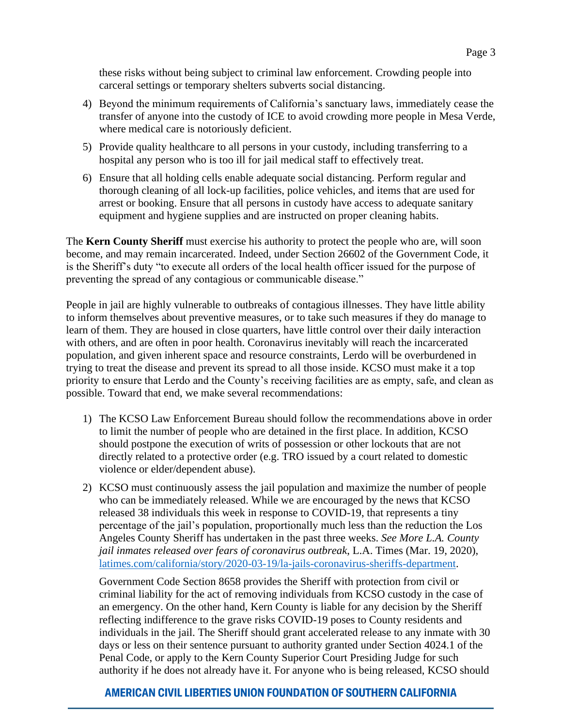these risks without being subject to criminal law enforcement. Crowding people into carceral settings or temporary shelters subverts social distancing.

- 4) Beyond the minimum requirements of California's sanctuary laws, immediately cease the transfer of anyone into the custody of ICE to avoid crowding more people in Mesa Verde, where medical care is notoriously deficient.
- 5) Provide quality healthcare to all persons in your custody, including transferring to a hospital any person who is too ill for jail medical staff to effectively treat.
- 6) Ensure that all holding cells enable adequate social distancing. Perform regular and thorough cleaning of all lock-up facilities, police vehicles, and items that are used for arrest or booking. Ensure that all persons in custody have access to adequate sanitary equipment and hygiene supplies and are instructed on proper cleaning habits.

The **Kern County Sheriff** must exercise his authority to protect the people who are, will soon become, and may remain incarcerated. Indeed, under Section 26602 of the Government Code, it is the Sheriff's duty "to execute all orders of the local health officer issued for the purpose of preventing the spread of any contagious or communicable disease."

People in jail are highly vulnerable to outbreaks of contagious illnesses. They have little ability to inform themselves about preventive measures, or to take such measures if they do manage to learn of them. They are housed in close quarters, have little control over their daily interaction with others, and are often in poor health. Coronavirus inevitably will reach the incarcerated population, and given inherent space and resource constraints, Lerdo will be overburdened in trying to treat the disease and prevent its spread to all those inside. KCSO must make it a top priority to ensure that Lerdo and the County's receiving facilities are as empty, safe, and clean as possible. Toward that end, we make several recommendations:

- 1) The KCSO Law Enforcement Bureau should follow the recommendations above in order to limit the number of people who are detained in the first place. In addition, KCSO should postpone the execution of writs of possession or other lockouts that are not directly related to a protective order (e.g. TRO issued by a court related to domestic violence or elder/dependent abuse).
- 2) KCSO must continuously assess the jail population and maximize the number of people who can be immediately released. While we are encouraged by the news that KCSO released 38 individuals this week in response to COVID-19, that represents a tiny percentage of the jail's population, proportionally much less than the reduction the Los Angeles County Sheriff has undertaken in the past three weeks. *See More L.A. County jail inmates released over fears of coronavirus outbreak*, L.A. Times (Mar. 19, 2020), [latimes.com/california/story/2020-03-19/la-jails-coronavirus-sheriffs-department.](http://www.latimes.com/california/story/2020-03-19/la-jails-coronavirus-sheriffs-department)

Government Code Section 8658 provides the Sheriff with protection from civil or criminal liability for the act of removing individuals from KCSO custody in the case of an emergency. On the other hand, Kern County is liable for any decision by the Sheriff reflecting indifference to the grave risks COVID-19 poses to County residents and individuals in the jail. The Sheriff should grant accelerated release to any inmate with 30 days or less on their sentence pursuant to authority granted under Section 4024.1 of the Penal Code, or apply to the Kern County Superior Court Presiding Judge for such authority if he does not already have it. For anyone who is being released, KCSO should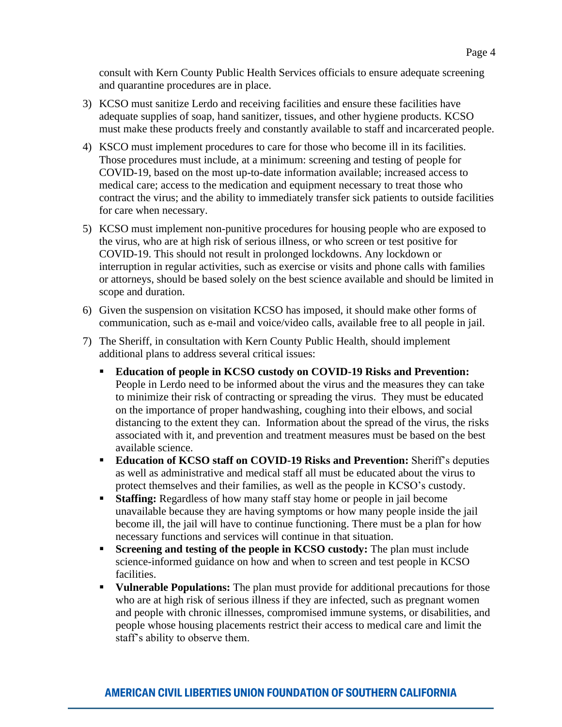- 3) KCSO must sanitize Lerdo and receiving facilities and ensure these facilities have adequate supplies of soap, hand sanitizer, tissues, and other hygiene products. KCSO must make these products freely and constantly available to staff and incarcerated people.
- 4) KSCO must implement procedures to care for those who become ill in its facilities. Those procedures must include, at a minimum: screening and testing of people for COVID-19, based on the most up-to-date information available; increased access to medical care; access to the medication and equipment necessary to treat those who contract the virus; and the ability to immediately transfer sick patients to outside facilities for care when necessary.
- 5) KCSO must implement non-punitive procedures for housing people who are exposed to the virus, who are at high risk of serious illness, or who screen or test positive for COVID-19. This should not result in prolonged lockdowns. Any lockdown or interruption in regular activities, such as exercise or visits and phone calls with families or attorneys, should be based solely on the best science available and should be limited in scope and duration.
- 6) Given the suspension on visitation KCSO has imposed, it should make other forms of communication, such as e-mail and voice/video calls, available free to all people in jail.
- 7) The Sheriff, in consultation with Kern County Public Health, should implement additional plans to address several critical issues:
	- **Education of people in KCSO custody on COVID-19 Risks and Prevention:** People in Lerdo need to be informed about the virus and the measures they can take to minimize their risk of contracting or spreading the virus. They must be educated on the importance of proper handwashing, coughing into their elbows, and social distancing to the extent they can. Information about the spread of the virus, the risks associated with it, and prevention and treatment measures must be based on the best available science.
	- **Education of KCSO staff on COVID-19 Risks and Prevention:** Sheriff's deputies as well as administrative and medical staff all must be educated about the virus to protect themselves and their families, as well as the people in KCSO's custody.
	- **Example:** Regardless of how many staff stay home or people in jail become unavailable because they are having symptoms or how many people inside the jail become ill, the jail will have to continue functioning. There must be a plan for how necessary functions and services will continue in that situation.
	- **Screening and testing of the people in KCSO custody:** The plan must include science-informed guidance on how and when to screen and test people in KCSO facilities.
	- **Vulnerable Populations:** The plan must provide for additional precautions for those who are at high risk of serious illness if they are infected, such as pregnant women and people with chronic illnesses, compromised immune systems, or disabilities, and people whose housing placements restrict their access to medical care and limit the staff's ability to observe them.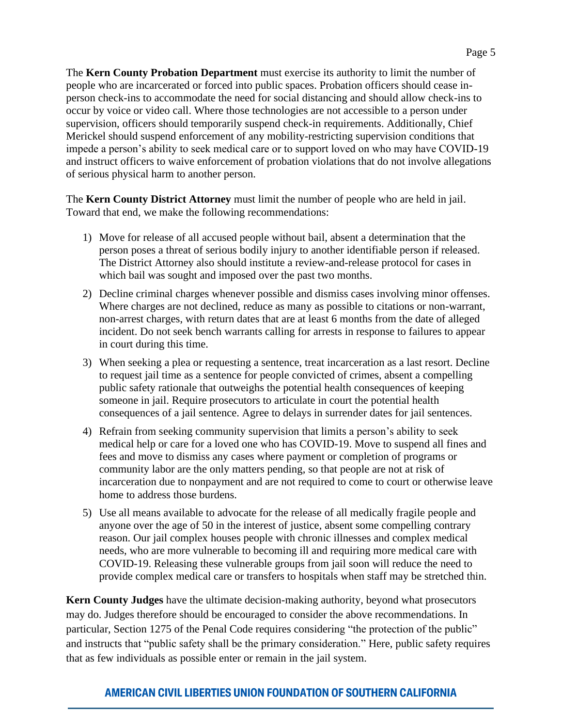The **Kern County Probation Department** must exercise its authority to limit the number of people who are incarcerated or forced into public spaces. Probation officers should cease inperson check-ins to accommodate the need for social distancing and should allow check-ins to occur by voice or video call. Where those technologies are not accessible to a person under supervision, officers should temporarily suspend check-in requirements. Additionally, Chief Merickel should suspend enforcement of any mobility-restricting supervision conditions that impede a person's ability to seek medical care or to support loved on who may have COVID-19 and instruct officers to waive enforcement of probation violations that do not involve allegations of serious physical harm to another person.

The **Kern County District Attorney** must limit the number of people who are held in jail. Toward that end, we make the following recommendations:

- 1) Move for release of all accused people without bail, absent a determination that the person poses a threat of serious bodily injury to another identifiable person if released. The District Attorney also should institute a review-and-release protocol for cases in which bail was sought and imposed over the past two months.
- 2) Decline criminal charges whenever possible and dismiss cases involving minor offenses. Where charges are not declined, reduce as many as possible to citations or non-warrant, non-arrest charges, with return dates that are at least 6 months from the date of alleged incident. Do not seek bench warrants calling for arrests in response to failures to appear in court during this time.
- 3) When seeking a plea or requesting a sentence, treat incarceration as a last resort. Decline to request jail time as a sentence for people convicted of crimes, absent a compelling public safety rationale that outweighs the potential health consequences of keeping someone in jail. Require prosecutors to articulate in court the potential health consequences of a jail sentence. Agree to delays in surrender dates for jail sentences.
- 4) Refrain from seeking community supervision that limits a person's ability to seek medical help or care for a loved one who has COVID-19. Move to suspend all fines and fees and move to dismiss any cases where payment or completion of programs or community labor are the only matters pending, so that people are not at risk of incarceration due to nonpayment and are not required to come to court or otherwise leave home to address those burdens.
- 5) Use all means available to advocate for the release of all medically fragile people and anyone over the age of 50 in the interest of justice, absent some compelling contrary reason. Our jail complex houses people with chronic illnesses and complex medical needs, who are more vulnerable to becoming ill and requiring more medical care with COVID-19. Releasing these vulnerable groups from jail soon will reduce the need to provide complex medical care or transfers to hospitals when staff may be stretched thin.

**Kern County Judges** have the ultimate decision-making authority, beyond what prosecutors may do. Judges therefore should be encouraged to consider the above recommendations. In particular, Section 1275 of the Penal Code requires considering "the protection of the public" and instructs that "public safety shall be the primary consideration." Here, public safety requires that as few individuals as possible enter or remain in the jail system.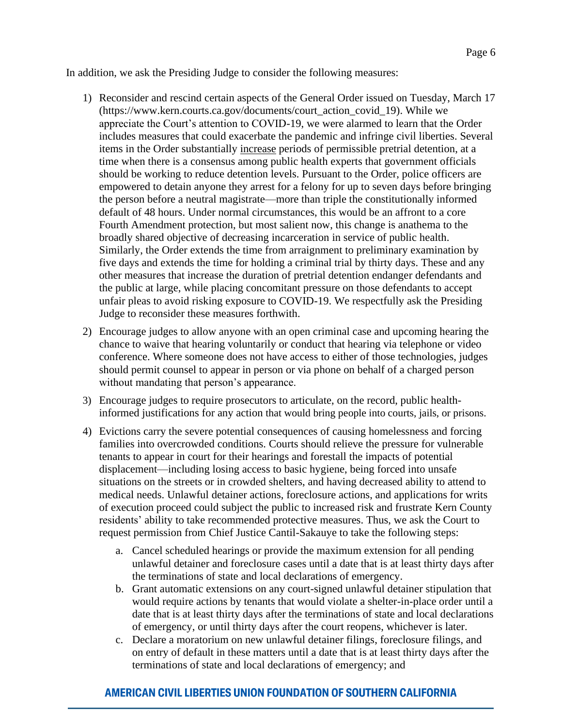In addition, we ask the Presiding Judge to consider the following measures:

- 1) Reconsider and rescind certain aspects of the General Order issued on Tuesday, March 17 (https://www.kern.courts.ca.gov/documents/court\_action\_covid\_19). While we appreciate the Court's attention to COVID-19, we were alarmed to learn that the Order includes measures that could exacerbate the pandemic and infringe civil liberties. Several items in the Order substantially increase periods of permissible pretrial detention, at a time when there is a consensus among public health experts that government officials should be working to reduce detention levels. Pursuant to the Order, police officers are empowered to detain anyone they arrest for a felony for up to seven days before bringing the person before a neutral magistrate—more than triple the constitutionally informed default of 48 hours. Under normal circumstances, this would be an affront to a core Fourth Amendment protection, but most salient now, this change is anathema to the broadly shared objective of decreasing incarceration in service of public health. Similarly, the Order extends the time from arraignment to preliminary examination by five days and extends the time for holding a criminal trial by thirty days. These and any other measures that increase the duration of pretrial detention endanger defendants and the public at large, while placing concomitant pressure on those defendants to accept unfair pleas to avoid risking exposure to COVID-19. We respectfully ask the Presiding Judge to reconsider these measures forthwith.
- 2) Encourage judges to allow anyone with an open criminal case and upcoming hearing the chance to waive that hearing voluntarily or conduct that hearing via telephone or video conference. Where someone does not have access to either of those technologies, judges should permit counsel to appear in person or via phone on behalf of a charged person without mandating that person's appearance.
- 3) Encourage judges to require prosecutors to articulate, on the record, public healthinformed justifications for any action that would bring people into courts, jails, or prisons.
- 4) Evictions carry the severe potential consequences of causing homelessness and forcing families into overcrowded conditions. Courts should relieve the pressure for vulnerable tenants to appear in court for their hearings and forestall the impacts of potential displacement—including losing access to basic hygiene, being forced into unsafe situations on the streets or in crowded shelters, and having decreased ability to attend to medical needs. Unlawful detainer actions, foreclosure actions, and applications for writs of execution proceed could subject the public to increased risk and frustrate Kern County residents' ability to take recommended protective measures. Thus, we ask the Court to request permission from Chief Justice Cantil-Sakauye to take the following steps:
	- a. Cancel scheduled hearings or provide the maximum extension for all pending unlawful detainer and foreclosure cases until a date that is at least thirty days after the terminations of state and local declarations of emergency.
	- b. Grant automatic extensions on any court-signed unlawful detainer stipulation that would require actions by tenants that would violate a shelter-in-place order until a date that is at least thirty days after the terminations of state and local declarations of emergency, or until thirty days after the court reopens, whichever is later.
	- c. Declare a moratorium on new unlawful detainer filings, foreclosure filings, and on entry of default in these matters until a date that is at least thirty days after the terminations of state and local declarations of emergency; and